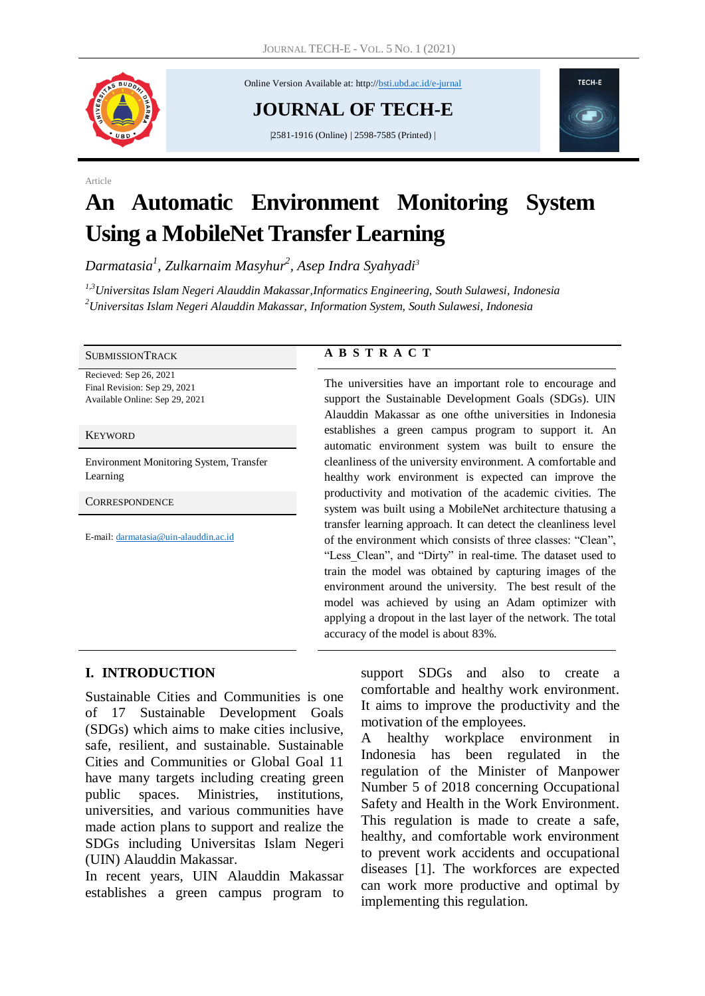

Article

Online Version Available at: http://bsti.ubd.ac.id/e-jurnal

**JOURNAL OF TECH-E**

|2581-1916 (Online) | 2598-7585 (Printed) |



# **An Automatic Environment Monitoring System Using a MobileNet Transfer Learning**

*Darmatasia<sup>1</sup> , Zulkarnaim Masyhur<sup>2</sup> , Asep Indra Syahyadi<sup>3</sup>*

*1,3Universitas Islam Negeri Alauddin Makassar,Informatics Engineering, South Sulawesi, Indonesia <sup>2</sup>Universitas Islam Negeri Alauddin Makassar, Information System, South Sulawesi, Indonesia*

Recieved: Sep 26, 2021 Final Revision: Sep 29, 2021 Available Online: Sep 29, 2021

#### **KEYWORD**

Environment Monitoring System, Transfer Learning

**CORRESPONDENCE** 

E-mail: [darmatasia@uin-alauddin.ac.id](mailto:darmatasia@uin-alauddin.ac.id)

#### SUBMISSIONTRACK **A B S T R A C T**

The universities have an important role to encourage and support the Sustainable Development Goals (SDGs). UIN Alauddin Makassar as one ofthe universities in Indonesia establishes a green campus program to support it. An automatic environment system was built to ensure the cleanliness of the university environment. A comfortable and healthy work environment is expected can improve the productivity and motivation of the academic civities. The system was built using a MobileNet architecture thatusing a transfer learning approach. It can detect the cleanliness level of the environment which consists of three classes: "Clean", "Less\_Clean", and "Dirty" in real-time. The dataset used to train the model was obtained by capturing images of the environment around the university. The best result of the model was achieved by using an Adam optimizer with applying a dropout in the last layer of the network. The total accuracy of the model is about 83%.

#### **I. INTRODUCTION**

Sustainable Cities and Communities is one of 17 Sustainable Development Goals (SDGs) which aims to make cities inclusive, safe, resilient, and sustainable. Sustainable Cities and Communities or Global Goal 11 have many targets including creating green public spaces. Ministries, institutions, universities, and various communities have made action plans to support and realize the SDGs including Universitas Islam Negeri (UIN) Alauddin Makassar.

In recent years, UIN Alauddin Makassar establishes a green campus program to support SDGs and also to create a comfortable and healthy work environment. It aims to improve the productivity and the motivation of the employees.

A healthy workplace environment in Indonesia has been regulated in the regulation of the Minister of Manpower Number 5 of 2018 concerning Occupational Safety and Health in the Work Environment. This regulation is made to create a safe, healthy, and comfortable work environment to prevent work accidents and occupational diseases [1]. The workforces are expected can work more productive and optimal by implementing this regulation.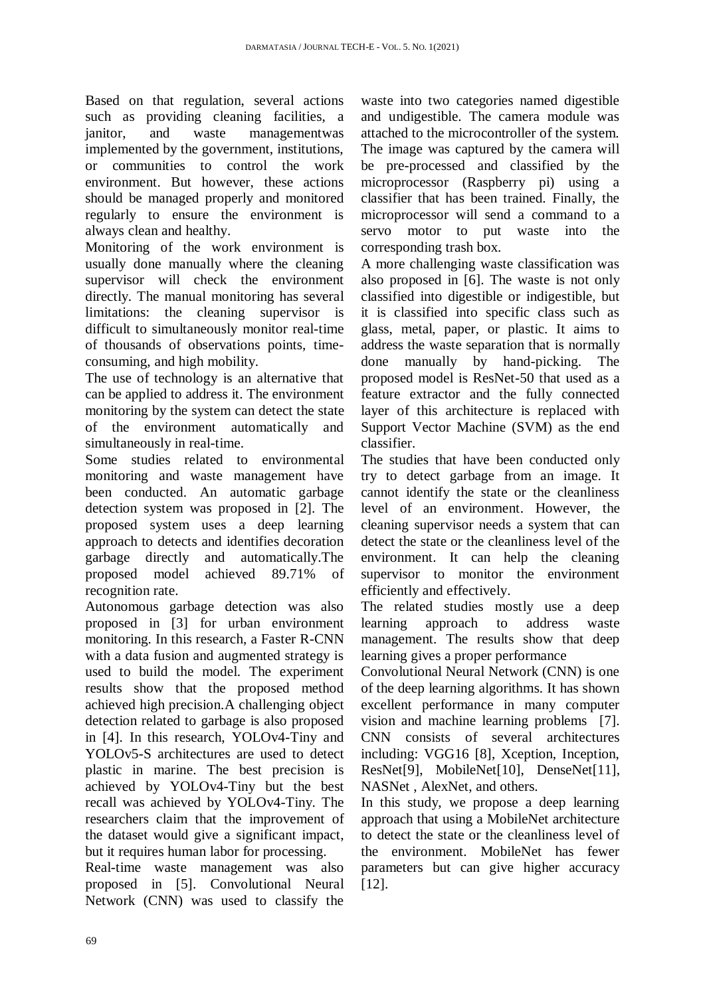Based on that regulation, several actions such as providing cleaning facilities, a janitor, and waste managementwas implemented by the government, institutions, or communities to control the work environment. But however, these actions should be managed properly and monitored regularly to ensure the environment is always clean and healthy.

Monitoring of the work environment is usually done manually where the cleaning supervisor will check the environment directly. The manual monitoring has several limitations: the cleaning supervisor is difficult to simultaneously monitor real-time of thousands of observations points, timeconsuming, and high mobility.

The use of technology is an alternative that can be applied to address it. The environment monitoring by the system can detect the state of the environment automatically and simultaneously in real-time.

Some studies related to environmental monitoring and waste management have been conducted. An automatic garbage detection system was proposed in [2]. The proposed system uses a deep learning approach to detects and identifies decoration garbage directly and automatically.The proposed model achieved 89.71% of recognition rate.

Autonomous garbage detection was also proposed in [3] for urban environment monitoring. In this research, a Faster R-CNN with a data fusion and augmented strategy is used to build the model. The experiment results show that the proposed method achieved high precision.A challenging object detection related to garbage is also proposed in [4]. In this research, YOLOv4-Tiny and YOLOv5-S architectures are used to detect plastic in marine. The best precision is achieved by YOLOv4-Tiny but the best recall was achieved by YOLOv4-Tiny. The researchers claim that the improvement of the dataset would give a significant impact, but it requires human labor for processing.

Real-time waste management was also proposed in [5]. Convolutional Neural Network (CNN) was used to classify the

waste into two categories named digestible and undigestible. The camera module was attached to the microcontroller of the system. The image was captured by the camera will be pre-processed and classified by the microprocessor (Raspberry pi) using a classifier that has been trained. Finally, the microprocessor will send a command to a servo motor to put waste into the corresponding trash box.

A more challenging waste classification was also proposed in [6]. The waste is not only classified into digestible or indigestible, but it is classified into specific class such as glass, metal, paper, or plastic. It aims to address the waste separation that is normally done manually by hand-picking. The proposed model is ResNet-50 that used as a feature extractor and the fully connected layer of this architecture is replaced with Support Vector Machine (SVM) as the end classifier.

The studies that have been conducted only try to detect garbage from an image. It cannot identify the state or the cleanliness level of an environment. However, the cleaning supervisor needs a system that can detect the state or the cleanliness level of the environment. It can help the cleaning supervisor to monitor the environment efficiently and effectively.

The related studies mostly use a deep learning approach to address waste management. The results show that deep learning gives a proper performance

Convolutional Neural Network (CNN) is one of the deep learning algorithms. It has shown excellent performance in many computer vision and machine learning problems [7]. CNN consists of several architectures including: VGG16 [8], Xception, Inception, ResNet[9], MobileNet[10], DenseNet[11], NASNet , AlexNet, and others.

In this study, we propose a deep learning approach that using a MobileNet architecture to detect the state or the cleanliness level of the environment. MobileNet has fewer parameters but can give higher accuracy [12].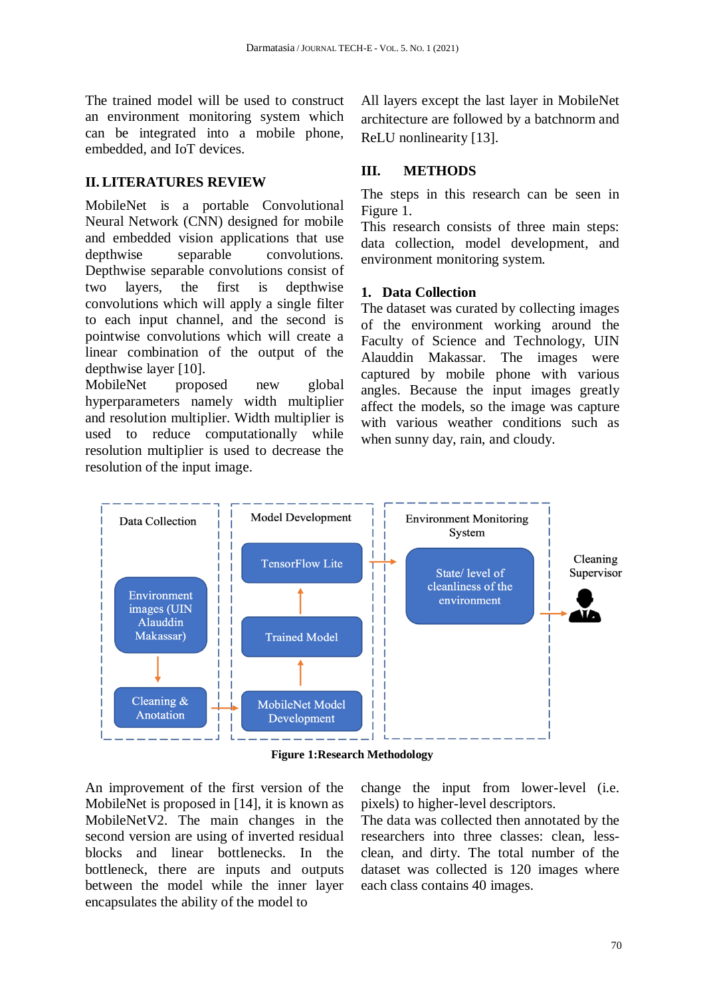The trained model will be used to construct an environment monitoring system which can be integrated into a mobile phone, embedded, and IoT devices.

#### **II. LITERATURES REVIEW**

MobileNet is a portable Convolutional Neural Network (CNN) designed for mobile and embedded vision applications that use depthwise separable convolutions. Depthwise separable convolutions consist of two layers, the first is depthwise convolutions which will apply a single filter to each input channel, and the second is pointwise convolutions which will create a linear combination of the output of the depthwise layer [10].

MobileNet proposed new global hyperparameters namely width multiplier and resolution multiplier. Width multiplier is used to reduce computationally while resolution multiplier is used to decrease the resolution of the input image.

All layers except the last layer in MobileNet architecture are followed by a batchnorm and ReLU nonlinearity [13].

#### **III. METHODS**

The steps in this research can be seen in Figure 1.

This research consists of three main steps: data collection, model development, and environment monitoring system.

#### **1. Data Collection**

The dataset was curated by collecting images of the environment working around the Faculty of Science and Technology, UIN Alauddin Makassar. The images were captured by mobile phone with various angles. Because the input images greatly affect the models, so the image was capture with various weather conditions such as when sunny day, rain, and cloudy.



**Figure 1:Research Methodology**

An improvement of the first version of the MobileNet is proposed in [14], it is known as MobileNetV2. The main changes in the second version are using of inverted residual blocks and linear bottlenecks. In the bottleneck, there are inputs and outputs between the model while the inner layer encapsulates the ability of the model to

change the input from lower-level (i.e. pixels) to higher-level descriptors.

The data was collected then annotated by the researchers into three classes: clean, lessclean, and dirty. The total number of the dataset was collected is 120 images where each class contains 40 images.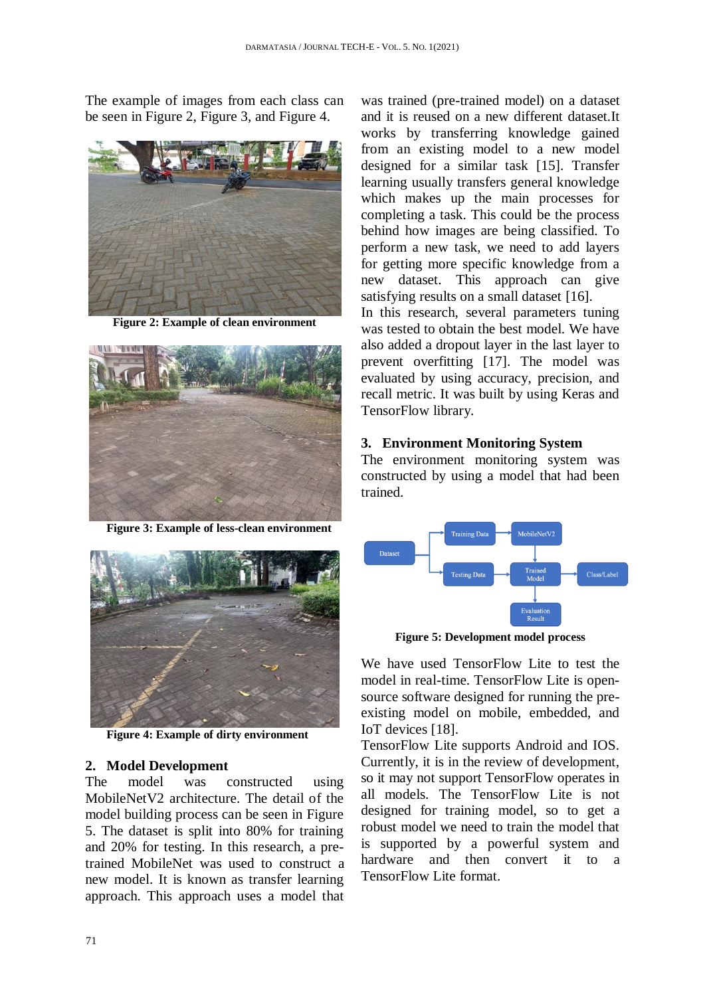The example of images from each class can be seen in Figure 2, Figure 3, and Figure 4.



**Figure 2: Example of clean environment**



**Figure 3: Example of less-clean environment**



**Figure 4: Example of dirty environment**

#### **2. Model Development**

The model was constructed using MobileNetV2 architecture. The detail of the model building process can be seen in Figure 5. The dataset is split into 80% for training and 20% for testing. In this research, a pretrained MobileNet was used to construct a new model. It is known as transfer learning approach. This approach uses a model that

was trained (pre-trained model) on a dataset and it is reused on a new different dataset.It works by transferring knowledge gained from an existing model to a new model designed for a similar task [15]. Transfer learning usually transfers general knowledge which makes up the main processes for completing a task. This could be the process behind how images are being classified. To perform a new task, we need to add layers for getting more specific knowledge from a new dataset. This approach can give satisfying results on a small dataset [16].

In this research, several parameters tuning was tested to obtain the best model. We have also added a dropout layer in the last layer to prevent overfitting [17]. The model was evaluated by using accuracy, precision, and recall metric. It was built by using Keras and TensorFlow library.

#### **3. Environment Monitoring System**

The environment monitoring system was constructed by using a model that had been trained.



**Figure 5: Development model process**

We have used TensorFlow Lite to test the model in real-time. TensorFlow Lite is opensource software designed for running the preexisting model on mobile, embedded, and IoT devices [18].

TensorFlow Lite supports Android and IOS. Currently, it is in the review of development, so it may not support TensorFlow operates in all models. The TensorFlow Lite is not designed for training model, so to get a robust model we need to train the model that is supported by a powerful system and hardware and then convert it to a TensorFlow Lite format.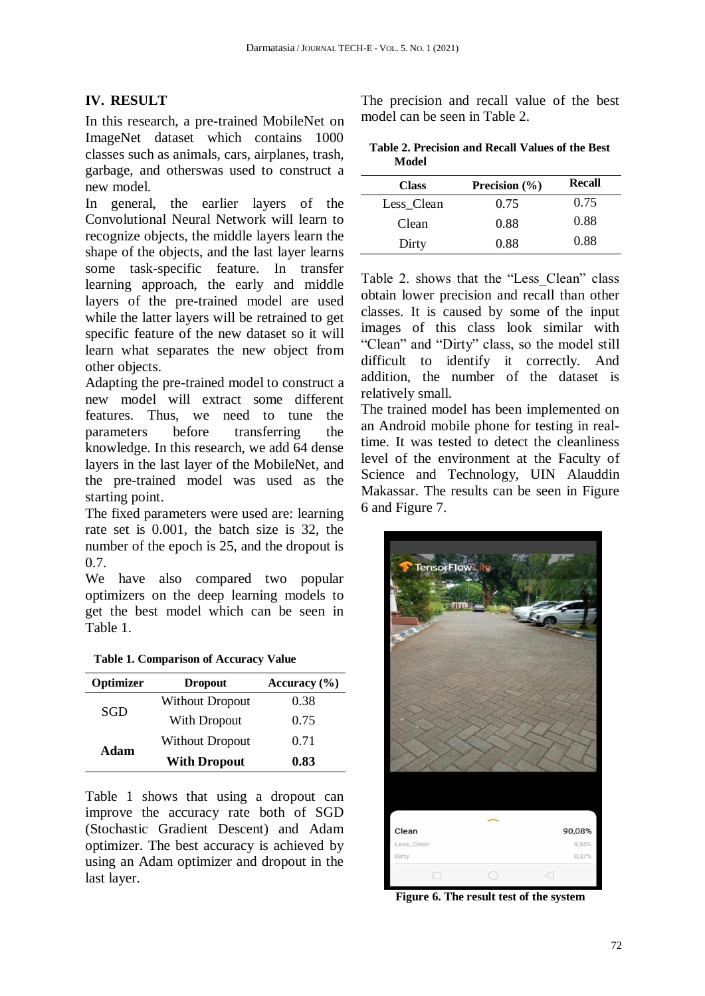## **IV. RESULT**

In this research, a pre-trained MobileNet on ImageNet dataset which contains 1000 classes such as animals, cars, airplanes, trash, garbage, and otherswas used to construct a new model.

In general, the earlier layers of the Convolutional Neural Network will learn to recognize objects, the middle layers learn the shape of the objects, and the last layer learns some task-specific feature. In transfer learning approach, the early and middle layers of the pre-trained model are used while the latter layers will be retrained to get specific feature of the new dataset so it will learn what separates the new object from other objects.

Adapting the pre-trained model to construct a new model will extract some different features. Thus, we need to tune the parameters before transferring the knowledge. In this research, we add 64 dense layers in the last layer of the MobileNet, and the pre-trained model was used as the starting point.

The fixed parameters were used are: learning rate set is 0.001, the batch size is 32, the number of the epoch is 25, and the dropout is 0.7.

We have also compared two popular optimizers on the deep learning models to get the best model which can be seen in Table 1.

|  |  | <b>Table 1. Comparison of Accuracy Value</b> |  |
|--|--|----------------------------------------------|--|
|--|--|----------------------------------------------|--|

| Optimizer | <b>Dropout</b>         | Accuracy $(\% )$ |  |
|-----------|------------------------|------------------|--|
| SGD       | <b>Without Dropout</b> | 0.38             |  |
|           | With Dropout           | 0.75             |  |
| Adam      | <b>Without Dropout</b> | 0.71             |  |
|           | <b>With Dropout</b>    | 0.83             |  |

Table 1 shows that using a dropout can improve the accuracy rate both of SGD (Stochastic Gradient Descent) and Adam optimizer. The best accuracy is achieved by using an Adam optimizer and dropout in the last layer.

The precision and recall value of the best model can be seen in Table 2.

| Table 2. Precision and Recall Values of the Best |  |  |
|--------------------------------------------------|--|--|
| Model                                            |  |  |

| <b>Class</b> | Precision $(\% )$ | <b>Recall</b> |
|--------------|-------------------|---------------|
| Less Clean   | 0.75              | 0.75          |
| Clean        | 0.88              | 0.88          |
| Dirty        | 0.88              | 0.88          |

Table 2. shows that the "Less\_Clean" class obtain lower precision and recall than other classes. It is caused by some of the input images of this class look similar with "Clean" and "Dirty" class, so the model still difficult to identify it correctly. And addition, the number of the dataset is relatively small.

The trained model has been implemented on an Android mobile phone for testing in realtime. It was tested to detect the cleanliness level of the environment at the Faculty of Science and Technology, UIN Alauddin Makassar. The results can be seen in Figure 6 and Figure 7.



**Figure 6. The result test of the system**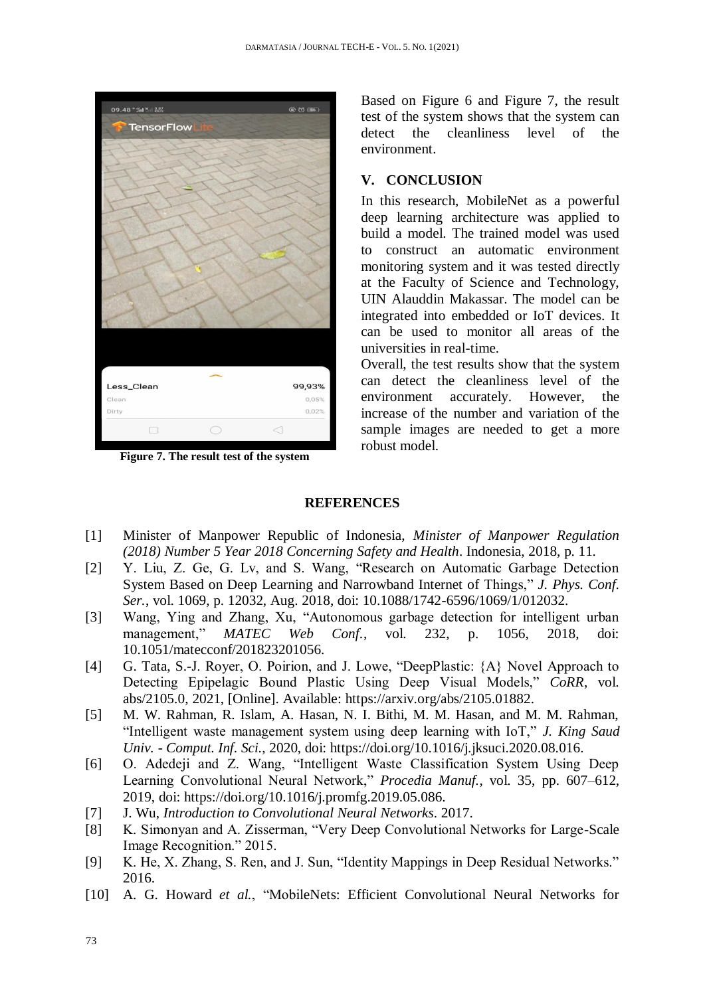

**Figure 7. The result test of the system**

Based on Figure 6 and Figure 7, the result test of the system shows that the system can detect the cleanliness level of the environment.

#### **V. CONCLUSION**

In this research, MobileNet as a powerful deep learning architecture was applied to build a model. The trained model was used to construct an automatic environment monitoring system and it was tested directly at the Faculty of Science and Technology, UIN Alauddin Makassar. The model can be integrated into embedded or IoT devices. It can be used to monitor all areas of the universities in real-time.

Overall, the test results show that the system can detect the cleanliness level of the environment accurately. However, the increase of the number and variation of the sample images are needed to get a more robust model.

### **REFERENCES**

- [1] Minister of Manpower Republic of Indonesia, *Minister of Manpower Regulation (2018) Number 5 Year 2018 Concerning Safety and Health*. Indonesia, 2018, p. 11.
- [2] Y. Liu, Z. Ge, G. Lv, and S. Wang, "Research on Automatic Garbage Detection System Based on Deep Learning and Narrowband Internet of Things," *J. Phys. Conf. Ser.*, vol. 1069, p. 12032, Aug. 2018, doi: 10.1088/1742-6596/1069/1/012032.
- [3] Wang, Ying and Zhang, Xu, "Autonomous garbage detection for intelligent urban management," *MATEC Web Conf.*, vol. 232, p. 1056, 2018, doi: 10.1051/matecconf/201823201056.
- [4] G. Tata, S.-J. Royer, O. Poirion, and J. Lowe, "DeepPlastic: {A} Novel Approach to Detecting Epipelagic Bound Plastic Using Deep Visual Models," *CoRR*, vol. abs/2105.0, 2021, [Online]. Available: https://arxiv.org/abs/2105.01882.
- [5] M. W. Rahman, R. Islam, A. Hasan, N. I. Bithi, M. M. Hasan, and M. M. Rahman, "Intelligent waste management system using deep learning with IoT," *J. King Saud Univ. - Comput. Inf. Sci.*, 2020, doi: https://doi.org/10.1016/j.jksuci.2020.08.016.
- [6] O. Adedeji and Z. Wang, "Intelligent Waste Classification System Using Deep Learning Convolutional Neural Network," *Procedia Manuf.*, vol. 35, pp. 607–612, 2019, doi: https://doi.org/10.1016/j.promfg.2019.05.086.
- [7] J. Wu, *Introduction to Convolutional Neural Networks*. 2017.
- [8] K. Simonyan and A. Zisserman, "Very Deep Convolutional Networks for Large-Scale Image Recognition." 2015.
- [9] K. He, X. Zhang, S. Ren, and J. Sun, "Identity Mappings in Deep Residual Networks." 2016.
- [10] A. G. Howard *et al.*, "MobileNets: Efficient Convolutional Neural Networks for